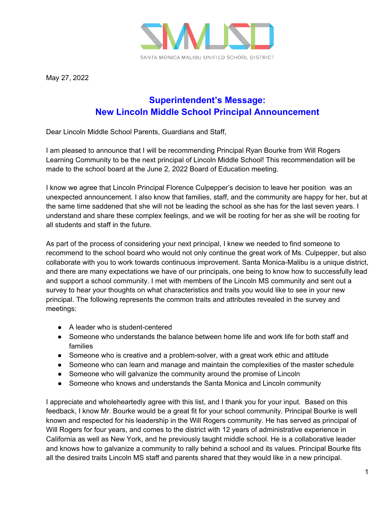

May 27, 2022

## **Superintendent's Message: New Lincoln Middle School Principal Announcement**

Dear Lincoln Middle School Parents, Guardians and Staff,

I am pleased to announce that I will be recommending Principal Ryan Bourke from Will Rogers Learning Community to be the next principal of Lincoln Middle School! This recommendation will be made to the school board at the June 2, 2022 Board of Education meeting.

I know we agree that Lincoln Principal Florence Culpepper's decision to leave her position was an unexpected announcement. I also know that families, staff, and the community are happy for her, but at the same time saddened that she will not be leading the school as she has for the last seven years. I understand and share these complex feelings, and we will be rooting for her as she will be rooting for all students and staff in the future.

As part of the process of considering your next principal, I knew we needed to find someone to recommend to the school board who would not only continue the great work of Ms. Culpepper, but also collaborate with you to work towards continuous improvement. Santa Monica-Malibu is a unique district, and there are many expectations we have of our principals, one being to know how to successfully lead and support a school community. I met with members of the Lincoln MS community and sent out a survey to hear your thoughts on what characteristics and traits you would like to see in your new principal. The following represents the common traits and attributes revealed in the survey and meetings:

- A leader who is student-centered
- Someone who understands the balance between home life and work life for both staff and families
- Someone who is creative and a problem-solver, with a great work ethic and attitude
- Someone who can learn and manage and maintain the complexities of the master schedule
- Someone who will galvanize the community around the promise of Lincoln
- Someone who knows and understands the Santa Monica and Lincoln community

I appreciate and wholeheartedly agree with this list, and I thank you for your input. Based on this feedback, I know Mr. Bourke would be a great fit for your school community. Principal Bourke is well known and respected for his leadership in the Will Rogers community. He has served as principal of Will Rogers for four years, and comes to the district with 12 years of administrative experience in California as well as New York, and he previously taught middle school. He is a collaborative leader and knows how to galvanize a community to rally behind a school and its values. Principal Bourke fits all the desired traits Lincoln MS staff and parents shared that they would like in a new principal.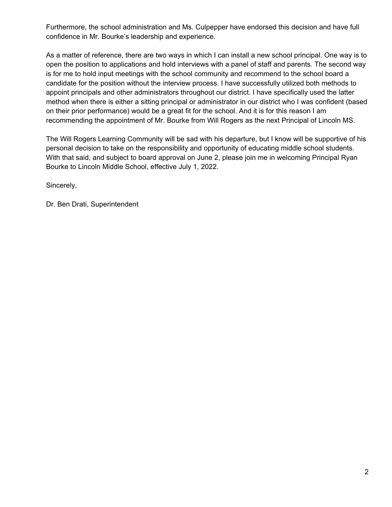Furthermore, the school administration and Ms. Culpepper have endorsed this decision and have full confidence in Mr. Bourke's leadership and experience.

As a matter of reference, there are two ways in which I can install a new school principal. One way is to open the position to applications and hold interviews with a panel of staff and parents. The second way is for me to hold input meetings with the school community and recommend to the school board a candidate for the position without the interview process. I have successfully utilized both methods to appoint principals and other administrators throughout our district. I have specifically used the latter method when there is either a sitting principal or administrator in our district who I was confident (based on their prior performance) would be a great fit for the school. And it is for this reason I am recommending the appointment of Mr. Bourke from Will Rogers as the next Principal of Lincoln MS.

The Will Rogers Learning Community will be sad with his departure, but I know will be supportive of his personal decision to take on the responsibility and opportunity of educating middle school students. With that said, and subject to board approval on June 2, please join me in welcoming Principal Ryan Bourke to Lincoln Middle School, effective July 1, 2022.

Sincerely,

Dr. Ben Drati, Superintendent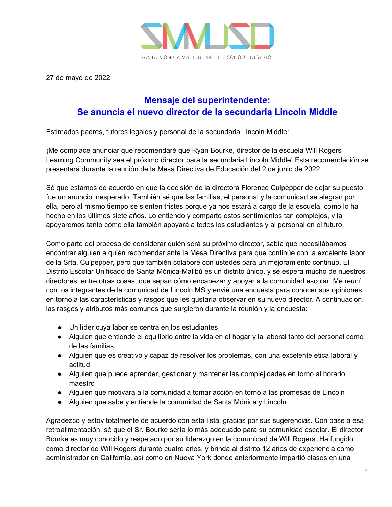

27 de mayo de 2022

## **Mensaje del superintendente: Se anuncia el nuevo director de la secundaria Lincoln Middle**

Estimados padres, tutores legales y personal de la secundaria Lincoln Middle:

¡Me complace anunciar que recomendaré que Ryan Bourke, director de la escuela Will Rogers Learning Community sea el próximo director para la secundaria Lincoln Middle! Esta recomendación se presentará durante la reunión de la Mesa Directiva de Educación del 2 de junio de 2022.

Sé que estamos de acuerdo en que la decisión de la directora Florence Culpepper de dejar su puesto fue un anuncio inesperado. También sé que las familias, el personal y la comunidad se alegran por ella, pero al mismo tiempo se sienten tristes porque ya nos estará a cargo de la escuela, como lo ha hecho en los últimos siete años. Lo entiendo y comparto estos sentimientos tan complejos, y la apoyaremos tanto como ella también apoyará a todos los estudiantes y al personal en el futuro.

Como parte del proceso de considerar quién será su próximo director, sabía que necesitábamos encontrar alguien a quién recomendar ante la Mesa Directiva para que continúe con la excelente labor de la Srta. Culpepper, pero que también colabore con ustedes para un mejoramiento continuo. El Distrito Escolar Unificado de Santa Mónica-Malibú es un distrito único, y se espera mucho de nuestros directores, entre otras cosas, que sepan cómo encabezar y apoyar a la comunidad escolar. Me reuní con los integrantes de la comunidad de Lincoln MS y envié una encuesta para conocer sus opiniones en torno a las características y rasgos que les gustaría observar en su nuevo director. A continuación, las rasgos y atributos más comunes que surgieron durante la reunión y la encuesta:

- Un líder cuya labor se centra en los estudiantes
- Alguien que entiende el equilibrio entre la vida en el hogar y la laboral tanto del personal como de las familias
- Alguien que es creativo y capaz de resolver los problemas, con una excelente ética laboral y actitud
- Alguien que puede aprender, gestionar y mantener las complejidades en torno al horario maestro
- Alguien que motivará a la comunidad a tomar acción en torno a las promesas de Lincoln
- Alguien que sabe y entiende la comunidad de Santa Mónica y Lincoln

Agradezco y estoy totalmente de acuerdo con esta lista; gracias por sus sugerencias. Con base a esa retroalimentación, sé que el Sr. Bourke sería lo más adecuado para su comunidad escolar. El director Bourke es muy conocido y respetado por su liderazgo en la comunidad de Will Rogers. Ha fungido como director de Will Rogers durante cuatro años, y brinda al distrito 12 años de experiencia como administrador en California, así como en Nueva York donde anteriormente impartió clases en una